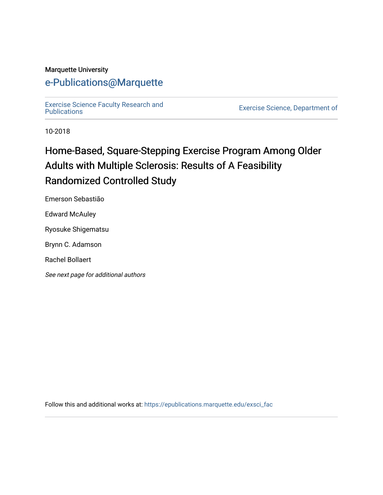#### Marquette University

### [e-Publications@Marquette](https://epublications.marquette.edu/)

[Exercise Science Faculty Research and](https://epublications.marquette.edu/exsci_fac)

Exercise Science, Department of

10-2018

# Home-Based, Square-Stepping Exercise Program Among Older Adults with Multiple Sclerosis: Results of A Feasibility Randomized Controlled Study

Emerson Sebastião

Edward McAuley

Ryosuke Shigematsu

Brynn C. Adamson

Rachel Bollaert

See next page for additional authors

Follow this and additional works at: [https://epublications.marquette.edu/exsci\\_fac](https://epublications.marquette.edu/exsci_fac?utm_source=epublications.marquette.edu%2Fexsci_fac%2F159&utm_medium=PDF&utm_campaign=PDFCoverPages)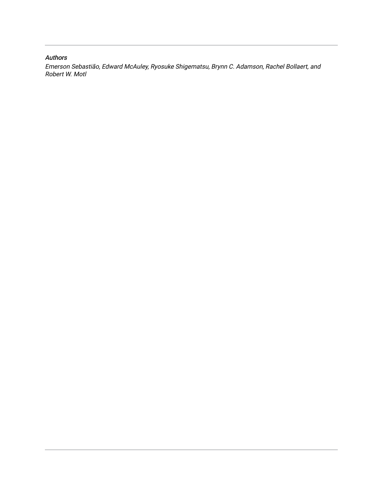#### Authors

Emerson Sebastião, Edward McAuley, Ryosuke Shigematsu, Brynn C. Adamson, Rachel Bollaert, and Robert W. Motl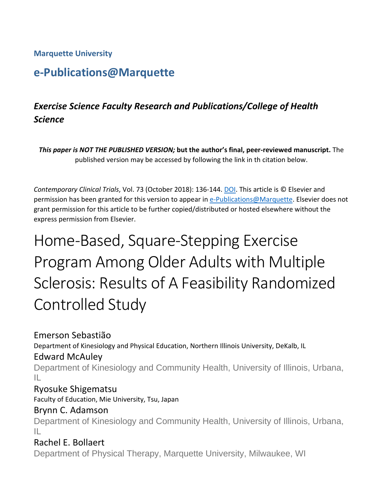**Marquette University**

# **e-Publications@Marquette**

## *Exercise Science Faculty Research and Publications/College of Health Science*

*This paper is NOT THE PUBLISHED VERSION;* **but the author's final, peer-reviewed manuscript.** The published version may be accessed by following the link in th citation below.

*Contemporary Clinical Trials*, Vol. 73 (October 2018): 136-144. [DOI.](https://doi.org/10.1016/j.cct.2018.09.008) This article is © Elsevier and permission has been granted for this version to appear in [e-Publications@Marquette.](http://epublications.marquette.edu/) Elsevier does not grant permission for this article to be further copied/distributed or hosted elsewhere without the express permission from Elsevier.

# Home-Based, Square-Stepping Exercise Program Among Older Adults with Multiple Sclerosis: Results of A Feasibility Randomized Controlled Study

### Emerson Sebastião

Department of Kinesiology and Physical Education, Northern Illinois University, DeKalb, IL

### Edward McAuley

Department of Kinesiology and Community Health, University of Illinois, Urbana, IL

### Ryosuke Shigematsu

Faculty of Education, Mie University, Tsu, Japan

### Brynn C. Adamson

Department of Kinesiology and Community Health, University of Illinois, Urbana, IL

### Rachel E. Bollaert

Department of Physical Therapy, Marquette University, Milwaukee, WI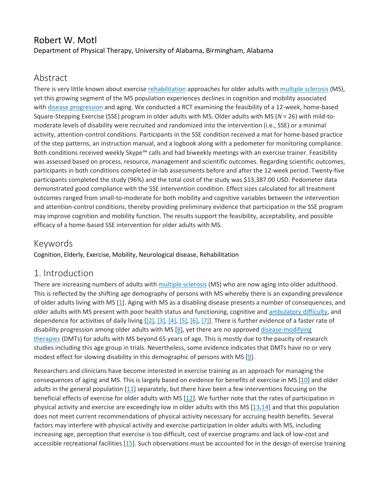### Robert W. Motl Department of Physical Therapy, University of Alabama, Birmingham, Alabama

### Abstract

There is very little known about exercise [rehabilitation](https://0-www-sciencedirect-com.libus.csd.mu.edu/topics/medicine-and-dentistry/rehabilitation-engineering) approaches for older adults with [multiple sclerosis](https://0-www-sciencedirect-com.libus.csd.mu.edu/topics/medicine-and-dentistry/multiple-sclerosis) (MS), yet this growing segment of the MS population experiences declines in cognition and mobility associated with [disease progression](https://0-www-sciencedirect-com.libus.csd.mu.edu/topics/medicine-and-dentistry/disease-exacerbation) and aging. We conducted a RCT examining the feasibility of a 12-week, home-based Square-Stepping Exercise (SSE) program in older adults with MS. Older adults with MS (*N* = 26) with mild-tomoderate levels of disability were recruited and randomized into the intervention (i.e., SSE) or a minimal activity, attention-control conditions. Participants in the SSE condition received a mat for home-based practice of the step patterns, an instruction manual, and a logbook along with a pedometer for monitoring compliance. Both conditions received weekly Skype™ calls and had biweekly meetings with an exercise trainer. Feasibility was assessed based on process, resource, management and scientific outcomes. Regarding scientific outcomes, participants in both conditions completed in-lab assessments before and after the 12-week period. Twenty-five participants completed the study (96%) and the total cost of the study was \$13,387.00 USD. Pedometer data demonstrated good compliance with the SSE intervention condition. Effect sizes calculated for all treatment outcomes ranged from small-to-moderate for both mobility and cognitive variables between the intervention and attention-control conditions, thereby providing preliminary evidence that participation in the SSE program may improve cognition and mobility function. The results support the feasibility, acceptability, and possible efficacy of a home-based SSE intervention for older adults with MS.

### Keywords

Cognition, Elderly, Exercise, Mobility, Neurological disease, Rehabilitation

### 1. Introduction

There are increasing numbers of adults with [multiple sclerosis](https://0-www-sciencedirect-com.libus.csd.mu.edu/topics/medicine-and-dentistry/multiple-sclerosis) (MS) who are now aging into older adulthood. This is reflected by the shifting age demography of persons with MS whereby there is an expanding prevalence of older adults living with MS [\[1\]](https://0-www-sciencedirect-com.libus.csd.mu.edu/science/article/pii/S1551714418303616#bb0005). Aging with MS as a disabling disease presents a number of consequences, and older adults with MS present with poor health status and functioning, cognitive and [ambulatory difficulty,](https://0-www-sciencedirect-com.libus.csd.mu.edu/topics/medicine-and-dentistry/walking-difficulty) and dependence for activities of daily living  $[[2], [3], [4], [5], [6], [7]]$  $[[2], [3], [4], [5], [6], [7]]$  $[[2], [3], [4], [5], [6], [7]]$  $[[2], [3], [4], [5], [6], [7]]$  $[[2], [3], [4], [5], [6], [7]]$  $[[2], [3], [4], [5], [6], [7]]$  $[[2], [3], [4], [5], [6], [7]]$  $[[2], [3], [4], [5], [6], [7]]$  $[[2], [3], [4], [5], [6], [7]]$  $[[2], [3], [4], [5], [6], [7]]$  $[[2], [3], [4], [5], [6], [7]]$ . There is further evidence of a faster rate of disability progression among older adults with MS [\[8\]](https://0-www-sciencedirect-com.libus.csd.mu.edu/science/article/pii/S1551714418303616#bb0040), yet there are no approved disease-modifying [therapies](https://0-www-sciencedirect-com.libus.csd.mu.edu/topics/medicine-and-dentistry/disease-modifying-therapy) (DMTs) for adults with MS beyond 65 years of age. This is mostly due to the paucity of research studies including this age group in trials. Nevertheless, some evidence indicates that DMTs have no or very modest effect for slowing disability in this demographic of persons with MS [\[9\]](https://0-www-sciencedirect-com.libus.csd.mu.edu/science/article/pii/S1551714418303616#bb0045).

Researchers and clinicians have become interested in exercise training as an approach for managing the consequences of aging and MS. This is largely based on evidence for benefits of exercise in MS [\[10\]](https://0-www-sciencedirect-com.libus.csd.mu.edu/science/article/pii/S1551714418303616#bb0050) and older adults in the general population [\[11\]](https://0-www-sciencedirect-com.libus.csd.mu.edu/science/article/pii/S1551714418303616#bb0055) separately, but there have been a few interventions focusing on the beneficial effects of exercise for older adults with MS [\[12\]](https://0-www-sciencedirect-com.libus.csd.mu.edu/science/article/pii/S1551714418303616#bb0060). We further note that the rates of participation in physical activity and exercise are exceedingly low in older adults with this MS [\[13,](https://0-www-sciencedirect-com.libus.csd.mu.edu/science/article/pii/S1551714418303616#bb0065)[14\]](https://0-www-sciencedirect-com.libus.csd.mu.edu/science/article/pii/S1551714418303616#bb0070) and that this population does not meet current recommendations of physical activity necessary for accruing health benefits. Several factors may interfere with physical activity and exercise participation in older adults with MS, including increasing age, perception that exercise is too difficult, cost of exercise programs and lack of low-cost and accessible recreational facilities [\[15\]](https://0-www-sciencedirect-com.libus.csd.mu.edu/science/article/pii/S1551714418303616#bb0075). Such observations must be accounted for in the design of exercise training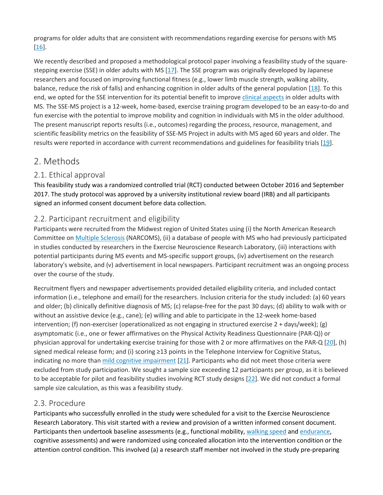programs for older adults that are consistent with recommendations regarding exercise for persons with MS [\[16\]](https://0-www-sciencedirect-com.libus.csd.mu.edu/science/article/pii/S1551714418303616#bb0080).

We recently described and proposed a methodological protocol paper involving a feasibility study of the squarestepping exercise (SSE) in older adults with MS [\[17\]](https://0-www-sciencedirect-com.libus.csd.mu.edu/science/article/pii/S1551714418303616#bb0085). The SSE program was originally developed by Japanese researchers and focused on improving functional fitness (e.g., lower limb muscle strength, walking ability, balance, reduce the risk of falls) and enhancing cognition in older adults of the general population [\[18\]](https://0-www-sciencedirect-com.libus.csd.mu.edu/science/article/pii/S1551714418303616#bb0090). To this end, we opted for the SSE intervention for its potential benefit to improve [clinical aspects](https://0-www-sciencedirect-com.libus.csd.mu.edu/topics/medicine-and-dentistry/clinical-feature) in older adults with MS. The SSE-MS project is a 12-week, home-based, exercise training program developed to be an easy-to-do and fun exercise with the potential to improve mobility and cognition in individuals with MS in the older adulthood. The present manuscript reports results (i.e., outcomes) regarding the process, resource, management, and scientific feasibility metrics on the feasibility of SSE-MS Project in adults with MS aged 60 years and older. The results were reported in accordance with current recommendations and guidelines for feasibility trials [\[19\]](https://0-www-sciencedirect-com.libus.csd.mu.edu/science/article/pii/S1551714418303616#bb0095).

### 2. Methods

### 2.1. Ethical approval

This feasibility study was a randomized controlled trial (RCT) conducted between October 2016 and September 2017. The study protocol was approved by a university institutional review board (IRB) and all participants signed an informed consent document before data collection.

### 2.2. Participant recruitment and eligibility

Participants were recruited from the Midwest region of United States using (i) the North American Research Committee on [Multiple Sclerosis](https://0-www-sciencedirect-com.libus.csd.mu.edu/topics/medicine-and-dentistry/multiple-sclerosis) (NARCOMS), (ii) a database of people with MS who had previously participated in studies conducted by researchers in the Exercise Neuroscience Research Laboratory, (iii) interactions with potential participants during MS events and MS-specific support groups, (iv) advertisement on the research laboratory's website, and (v) advertisement in local newspapers. Participant recruitment was an ongoing process over the course of the study.

Recruitment flyers and newspaper advertisements provided detailed eligibility criteria, and included contact information (i.e., telephone and email) for the researchers. Inclusion criteria for the study included: (a) 60 years and older; (b) clinically definitive diagnosis of MS; (c) relapse-free for the past 30 days; (d) ability to walk with or without an assistive device (e.g., cane); (e) willing and able to participate in the 12-week home-based intervention; (f) non-exerciser (operationalized as not engaging in structured exercise 2 + days/week); (g) asymptomatic (i.e., one or fewer affirmatives on the Physical Activity Readiness Questionnaire (PAR-Q)) or physician approval for undertaking exercise training for those with 2 or more affirmatives on the PAR-Q [\[20\]](https://0-www-sciencedirect-com.libus.csd.mu.edu/science/article/pii/S1551714418303616#bb0100), (h) signed medical release form; and (i) scoring ≥13 points in the Telephone Interview for Cognitive Status, indicating no more than [mild cognitive impairment](https://0-www-sciencedirect-com.libus.csd.mu.edu/topics/medicine-and-dentistry/mild-cognitive-impairment) [\[21\]](https://0-www-sciencedirect-com.libus.csd.mu.edu/science/article/pii/S1551714418303616#bb0105). Participants who did not meet those criteria were excluded from study participation. We sought a sample size exceeding 12 participants per group, as it is believed to be acceptable for pilot and feasibility studies involving RCT study designs [\[22\]](https://0-www-sciencedirect-com.libus.csd.mu.edu/science/article/pii/S1551714418303616#bb0110). We did not conduct a formal sample size calculation, as this was a feasibility study.

### 2.3. Procedure

Participants who successfully enrolled in the study were scheduled for a visit to the Exercise Neuroscience Research Laboratory. This visit started with a review and provision of a written informed consent document. Participants then undertook baseline assessments (e.g., functional mobility, [walking speed](https://0-www-sciencedirect-com.libus.csd.mu.edu/topics/medicine-and-dentistry/walking-speed) and [endurance,](https://0-www-sciencedirect-com.libus.csd.mu.edu/topics/medicine-and-dentistry/endurance) cognitive assessments) and were randomized using concealed allocation into the intervention condition or the attention control condition. This involved (a) a research staff member not involved in the study pre-preparing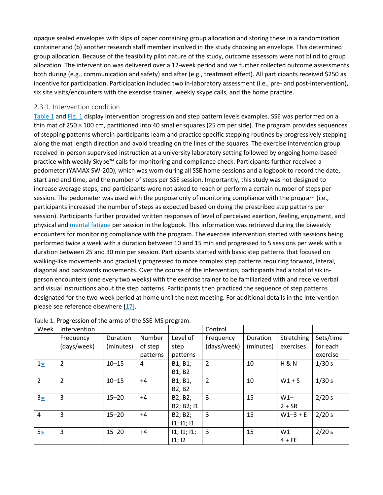opaque sealed envelopes with slips of paper containing group allocation and storing these in a randomization container and (b) another research staff member involved in the study choosing an envelope. This determined group allocation. Because of the feasibility pilot nature of the study, outcome assessors were not blind to group allocation. The intervention was delivered over a 12-week period and we further collected outcome assessments both during (e.g., communication and safety) and after (e.g., treatment effect). All participants received \$250 as incentive for participation. Participation included two in-laboratory assessment (i.e., pre- and post-intervention), six site visits/encounters with the exercise trainer, weekly skype calls, and the home practice.

#### 2.3.1. Intervention condition

[Table 1](https://0-www-sciencedirect-com.libus.csd.mu.edu/science/article/pii/S1551714418303616#t0005) and [Fig. 1](https://0-www-sciencedirect-com.libus.csd.mu.edu/science/article/pii/S1551714418303616#f0005) display intervention progression and step pattern levels examples. SSE was performed on a thin mat of 250 × 100 cm, partitioned into 40 smaller squares (25 cm per side). The program provides sequences of stepping patterns wherein participants learn and practice specific stepping routines by progressively stepping along the mat length direction and avoid treading on the lines of the squares. The exercise intervention group received in-person supervised instruction at a university laboratory setting followed by ongoing home-based practice with weekly Skype<sup>™</sup> calls for monitoring and compliance check. Participants further received a pedometer (YAMAX SW-200), which was worn during all SSE home-sessions and a logbook to record the date, start and end time, and the number of steps per SSE session. Importantly, this study was not designed to increase average steps, and participants were not asked to reach or perform a certain number of steps per session. The pedometer was used with the purpose only of monitoring compliance with the program (i.e., participants increased the number of steps as expected based on doing the prescribed step patterns per session). Participants further provided written responses of level of perceived exertion, feeling, enjoyment, and physical and [mental fatigue](https://0-www-sciencedirect-com.libus.csd.mu.edu/topics/medicine-and-dentistry/dysthymia) per session in the logbook. This information was retrieved during the biweekly encounters for monitoring compliance with the program. The exercise intervention started with sessions being performed twice a week with a duration between 10 and 15 min and progressed to 5 sessions per week with a duration between 25 and 30 min per session. Participants started with basic step patterns that focused on walking-like movements and gradually progressed to more complex step patterns requiring forward, lateral, diagonal and backwards movements. Over the course of the intervention, participants had a total of six inperson encounters (one every two weeks) with the exercise trainer to be familiarized with and receive verbal and visual instructions about the step patterns. Participants then practiced the sequence of step patterns designated for the two-week period at home until the next meeting. For additional details in the intervention please see reference elsewhere [\[17\]](https://0-www-sciencedirect-com.libus.csd.mu.edu/science/article/pii/S1551714418303616#bb0085).

| Week           | Intervention             |                              |                   |                  | Control                  |                              |                         |                       |
|----------------|--------------------------|------------------------------|-------------------|------------------|--------------------------|------------------------------|-------------------------|-----------------------|
|                | Frequency<br>(days/week) | <b>Duration</b><br>(minutes) | Number<br>of step | Level of<br>step | Frequency<br>(days/week) | <b>Duration</b><br>(minutes) | Stretching<br>exercises | Sets/time<br>for each |
|                |                          |                              | patterns          | patterns         |                          |                              |                         | exercise              |
| $1*$           | $\overline{2}$           | $10 - 15$                    | 4                 | B1; B1;          | $\overline{2}$           | 10                           | <b>H &amp; N</b>        | 1/30 s                |
|                |                          |                              |                   | B1; B2           |                          |                              |                         |                       |
| $\overline{2}$ | 2                        | $10 - 15$                    | $+4$              | B1; B1,          | $\overline{2}$           | 10                           | $W1 + S$                | 1/30 s                |
|                |                          |                              |                   | B2, B2           |                          |                              |                         |                       |
| $3*$           | 3                        | $15 - 20$                    | $+4$              | B2; B2;          | 3                        | 15                           | $W1-$                   | 2/20 s                |
|                |                          |                              |                   | B2; B2; I1       |                          |                              | $2 + SR$                |                       |
| $\overline{4}$ | 3                        | $15 - 20$                    | $+4$              | B2; B2;          | 3                        | 15                           | $W1 - 3 + E$            | 2/20 s                |
|                |                          |                              |                   | 11; 11; 11       |                          |                              |                         |                       |
| $5*$           | 3                        | $15 - 20$                    | $+4$              | 11; 11; 11;      | 3                        | 15                           | $W1-$                   | 2/20 s                |
|                |                          |                              |                   | 11; 12           |                          |                              | $4 + FE$                |                       |

Table 1. Progression of the arms of the SSE-MS program.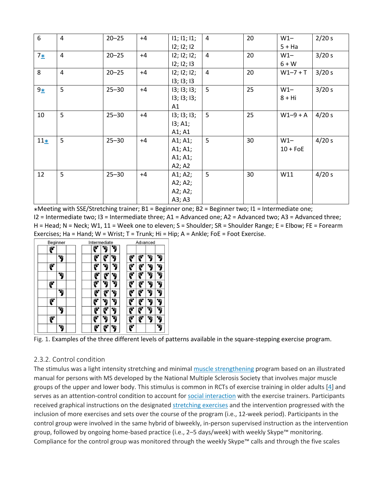| 6     | $\overline{4}$ | $20 - 25$ | $+4$ | 11; 11; 11; | $\overline{4}$ | 20 | $W1-$        | 2/20 s |
|-------|----------------|-----------|------|-------------|----------------|----|--------------|--------|
|       |                |           |      | 12; 12; 12  |                |    | $5 + Ha$     |        |
| $7*$  | $\overline{4}$ | $20 - 25$ | $+4$ | 12; 12; 12; | $\overline{4}$ | 20 | $W1-$        | 3/20 s |
|       |                |           |      | 12; 12; 13  |                |    | $6 + W$      |        |
| 8     | $\overline{4}$ | $20 - 25$ | $+4$ | 12; 12; 12; | $\overline{4}$ | 20 | $W1 - 7 + T$ | 3/20 s |
|       |                |           |      | 13; 13; 13  |                |    |              |        |
| $9*$  | 5              | $25 - 30$ | $+4$ | 13; 13; 13; | 5              | 25 | $W1-$        | 3/20 s |
|       |                |           |      | 13; 13; 13; |                |    | $8 + Hi$     |        |
|       |                |           |      | A1          |                |    |              |        |
| 10    | 5              | $25 - 30$ | $+4$ | 13; 13; 13; | 5              | 25 | $W1 - 9 + A$ | 4/20 s |
|       |                |           |      | 13; A1;     |                |    |              |        |
|       |                |           |      | A1; A1      |                |    |              |        |
| $11*$ | 5              | $25 - 30$ | $+4$ | A1; A1;     | 5              | 30 | $W1-$        | 4/20 s |
|       |                |           |      | A1; A1;     |                |    | $10 + FoE$   |        |
|       |                |           |      | A1; A1;     |                |    |              |        |
|       |                |           |      | A2; A2      |                |    |              |        |
| 12    | 5              | $25 - 30$ | $+4$ | A1; A2;     | 5              | 30 | W11          | 4/20 s |
|       |                |           |      | A2; A2;     |                |    |              |        |
|       |                |           |      | A2; A2;     |                |    |              |        |
|       |                |           |      | A3; A3      |                |    |              |        |

⁎Meeting with SSE/Stretching trainer; B1 = Beginner one; B2 = Beginner two; I1 = Intermediate one; I2 = Intermediate two; I3 = Intermediate three; A1 = Advanced one; A2 = Advanced two; A3 = Advanced three; H = Head; N = Neck; W1, 11 = Week one to eleven; S = Shoulder; SR = Shoulder Range; E = Elbow; FE = Forearm Exercises; Ha = Hand; W = Wrist; T = Trunk; Hi = Hip; A = Ankle; FoE = Foot Exercise.



Fig. 1. Examples of the three different levels of patterns available in the square-stepping exercise program.

#### 2.3.2. Control condition

The stimulus was a light intensity stretching and minimal [muscle strengthening](https://0-www-sciencedirect-com.libus.csd.mu.edu/topics/medicine-and-dentistry/muscle-training) program based on an illustrated manual for persons with MS developed by the National Multiple Sclerosis Society that involves major muscle groups of the upper and lower body. This stimulus is common in RCTs of exercise training in older adults [\[4\]](https://0-www-sciencedirect-com.libus.csd.mu.edu/science/article/pii/S1551714418303616#bb0020) and serves as an attention-control condition to account for [social interaction](https://0-www-sciencedirect-com.libus.csd.mu.edu/topics/medicine-and-dentistry/social-interaction) with the exercise trainers. Participants received graphical instructions on the designated [stretching exercises](https://0-www-sciencedirect-com.libus.csd.mu.edu/topics/medicine-and-dentistry/stretching-exercise) and the intervention progressed with the inclusion of more exercises and sets over the course of the program (i.e., 12-week period). Participants in the control group were involved in the same hybrid of biweekly, in-person supervised instruction as the intervention group, followed by ongoing home-based practice (i.e., 2–5 days/week) with weekly Skype™ monitoring. Compliance for the control group was monitored through the weekly Skype™ calls and through the five scales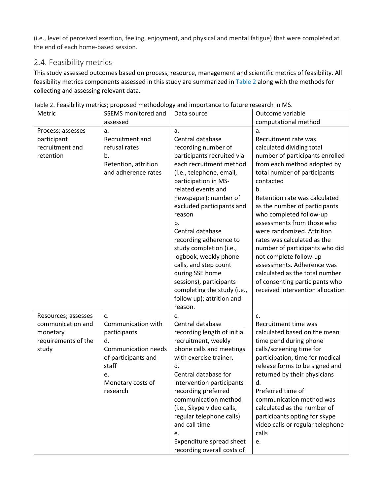(i.e., level of perceived exertion, feeling, enjoyment, and physical and mental fatigue) that were completed at the end of each home-based session.

### 2.4. Feasibility metrics

This study assessed outcomes based on process, resource, management and scientific metrics of feasibility. All feasibility metrics components assessed in this study are summarized in [Table 2](https://0-www-sciencedirect-com.libus.csd.mu.edu/science/article/pii/S1551714418303616#t0010) along with the methods for collecting and assessing relevant data.

| Metric                                                                               | <b>SSEMS</b> monitored and                                                                                                                          | Data source                                                                                                                                                                                                                                                                                                                                                                                                                                                                                            | Outcome variable                                                                                                                                                                                                                                                                                                                                                                                                                                                                                                                                                       |
|--------------------------------------------------------------------------------------|-----------------------------------------------------------------------------------------------------------------------------------------------------|--------------------------------------------------------------------------------------------------------------------------------------------------------------------------------------------------------------------------------------------------------------------------------------------------------------------------------------------------------------------------------------------------------------------------------------------------------------------------------------------------------|------------------------------------------------------------------------------------------------------------------------------------------------------------------------------------------------------------------------------------------------------------------------------------------------------------------------------------------------------------------------------------------------------------------------------------------------------------------------------------------------------------------------------------------------------------------------|
|                                                                                      | assessed                                                                                                                                            |                                                                                                                                                                                                                                                                                                                                                                                                                                                                                                        | computational method                                                                                                                                                                                                                                                                                                                                                                                                                                                                                                                                                   |
| Process; assesses<br>participant<br>recruitment and<br>retention                     | a.<br>Recruitment and<br>refusal rates<br>b.<br>Retention, attrition<br>and adherence rates                                                         | a.<br>Central database<br>recording number of<br>participants recruited via<br>each recruitment method<br>(i.e., telephone, email,<br>participation in MS-<br>related events and<br>newspaper); number of<br>excluded participants and<br>reason<br>b.<br>Central database<br>recording adherence to<br>study completion (i.e.,<br>logbook, weekly phone<br>calls, and step count<br>during SSE home<br>sessions), participants<br>completing the study (i.e.,<br>follow up); attrition and<br>reason. | a.<br>Recruitment rate was<br>calculated dividing total<br>number of participants enrolled<br>from each method adopted by<br>total number of participants<br>contacted<br>b.<br>Retention rate was calculated<br>as the number of participants<br>who completed follow-up<br>assessments from those who<br>were randomized. Attrition<br>rates was calculated as the<br>number of participants who did<br>not complete follow-up<br>assessments. Adherence was<br>calculated as the total number<br>of consenting participants who<br>received intervention allocation |
| Resources; assesses<br>communication and<br>monetary<br>requirements of the<br>study | c.<br>Communication with<br>participants<br>d.<br><b>Communication needs</b><br>of participants and<br>staff<br>e.<br>Monetary costs of<br>research | c.<br>Central database<br>recording length of initial<br>recruitment, weekly<br>phone calls and meetings<br>with exercise trainer.<br>d.<br>Central database for<br>intervention participants<br>recording preferred<br>communication method<br>(i.e., Skype video calls,<br>regular telephone calls)<br>and call time<br>e.<br>Expenditure spread sheet<br>recording overall costs of                                                                                                                 | c.<br>Recruitment time was<br>calculated based on the mean<br>time pend during phone<br>calls/screening time for<br>participation, time for medical<br>release forms to be signed and<br>returned by their physicians<br>d.<br>Preferred time of<br>communication method was<br>calculated as the number of<br>participants opting for skype<br>video calls or regular telephone<br>calls<br>e.                                                                                                                                                                        |

Table 2. Feasibility metrics; proposed methodology and importance to future research in MS.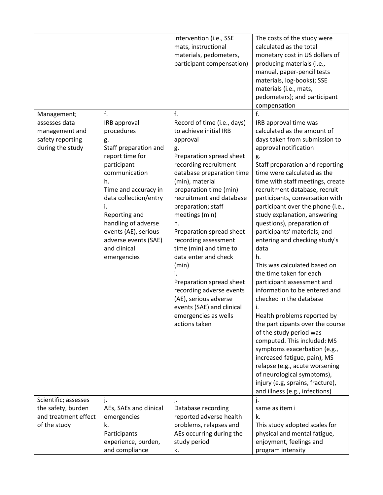|                                                                                        |                                                                                                                                                                                                                                                                                                        | intervention (i.e., SSE<br>mats, instructional<br>materials, pedometers,<br>participant compensation)                                                                                                                                                                                                                                                                                                                                                                                                                                                        | The costs of the study were<br>calculated as the total<br>monetary cost in US dollars of<br>producing materials (i.e.,<br>manual, paper-pencil tests<br>materials, log-books); SSE<br>materials (i.e., mats,<br>pedometers); and participant<br>compensation                                                                                                                                                                                                                                                                                                                                                                                                                                                                                                                                                                                                                                                                                                                         |
|----------------------------------------------------------------------------------------|--------------------------------------------------------------------------------------------------------------------------------------------------------------------------------------------------------------------------------------------------------------------------------------------------------|--------------------------------------------------------------------------------------------------------------------------------------------------------------------------------------------------------------------------------------------------------------------------------------------------------------------------------------------------------------------------------------------------------------------------------------------------------------------------------------------------------------------------------------------------------------|--------------------------------------------------------------------------------------------------------------------------------------------------------------------------------------------------------------------------------------------------------------------------------------------------------------------------------------------------------------------------------------------------------------------------------------------------------------------------------------------------------------------------------------------------------------------------------------------------------------------------------------------------------------------------------------------------------------------------------------------------------------------------------------------------------------------------------------------------------------------------------------------------------------------------------------------------------------------------------------|
| Management;<br>assesses data<br>management and<br>safety reporting<br>during the study | f.<br>IRB approval<br>procedures<br>g.<br>Staff preparation and<br>report time for<br>participant<br>communication<br>h.<br>Time and accuracy in<br>data collection/entry<br>i.<br>Reporting and<br>handling of adverse<br>events (AE), serious<br>adverse events (SAE)<br>and clinical<br>emergencies | f.<br>Record of time (i.e., days)<br>to achieve initial IRB<br>approval<br>g.<br>Preparation spread sheet<br>recording recruitment<br>database preparation time<br>(min), material<br>preparation time (min)<br>recruitment and database<br>preparation; staff<br>meetings (min)<br>h.<br>Preparation spread sheet<br>recording assessment<br>time (min) and time to<br>data enter and check<br>(min)<br>Preparation spread sheet<br>recording adverse events<br>(AE), serious adverse<br>events (SAE) and clinical<br>emergencies as wells<br>actions taken | f.<br>IRB approval time was<br>calculated as the amount of<br>days taken from submission to<br>approval notification<br>g.<br>Staff preparation and reporting<br>time were calculated as the<br>time with staff meetings, create<br>recruitment database, recruit<br>participants, conversation with<br>participant over the phone (i.e.,<br>study explanation, answering<br>questions), preparation of<br>participants' materials; and<br>entering and checking study's<br>data<br>h.<br>This was calculated based on<br>the time taken for each<br>participant assessment and<br>information to be entered and<br>checked in the database<br>i.<br>Health problems reported by<br>the participants over the course<br>of the study period was<br>computed. This included: MS<br>symptoms exacerbation (e.g.,<br>increased fatigue, pain), MS<br>relapse (e.g., acute worsening<br>of neurological symptoms),<br>injury (e.g, sprains, fracture),<br>and illness (e.g., infections) |
| Scientific; assesses<br>the safety, burden<br>and treatment effect<br>of the study     | j.<br>AEs, SAEs and clinical<br>emergencies<br>k.<br>Participants<br>experience, burden,<br>and compliance                                                                                                                                                                                             | j.<br>Database recording<br>reported adverse health<br>problems, relapses and<br>AEs occurring during the<br>study period<br>k.                                                                                                                                                                                                                                                                                                                                                                                                                              | j.<br>same as item i<br>k.<br>This study adopted scales for<br>physical and mental fatigue,<br>enjoyment, feelings and<br>program intensity                                                                                                                                                                                                                                                                                                                                                                                                                                                                                                                                                                                                                                                                                                                                                                                                                                          |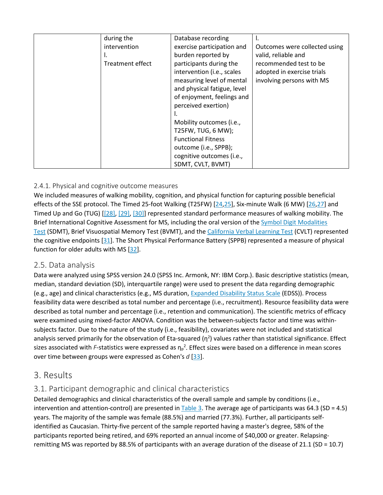| during the<br><i>intervention</i><br>Treatment effect | Database recording<br>exercise participation and<br>burden reported by<br>participants during the<br>intervention (i.e., scales<br>measuring level of mental<br>and physical fatigue, level<br>of enjoyment, feelings and<br>perceived exertion)<br>Mobility outcomes (i.e.,<br>T25FW, TUG, 6 MW);<br><b>Functional Fitness</b><br>outcome (i.e., SPPB); | Outcomes were collected using<br>valid, reliable and<br>recommended test to be<br>adopted in exercise trials<br>involving persons with MS |
|-------------------------------------------------------|----------------------------------------------------------------------------------------------------------------------------------------------------------------------------------------------------------------------------------------------------------------------------------------------------------------------------------------------------------|-------------------------------------------------------------------------------------------------------------------------------------------|
|                                                       | cognitive outcomes (i.e.,<br>SDMT, CVLT, BVMT)                                                                                                                                                                                                                                                                                                           |                                                                                                                                           |

#### 2.4.1. Physical and cognitive outcome measures

We included measures of walking mobility, cognition, and physical function for capturing possible beneficial effects of the SSE protocol. The Timed 25-foot Walking (T25FW) [\[24](https://0-www-sciencedirect-com.libus.csd.mu.edu/science/article/pii/S1551714418303616#bb0120)[,25\]](https://0-www-sciencedirect-com.libus.csd.mu.edu/science/article/pii/S1551714418303616#bb0125), Six-minute Walk (6 MW) [[26,](https://0-www-sciencedirect-com.libus.csd.mu.edu/science/article/pii/S1551714418303616#bb0130)[27\]](https://0-www-sciencedirect-com.libus.csd.mu.edu/science/article/pii/S1551714418303616#bb0135) and Timed Up and Go (TUG) [\[\[28\],](https://0-www-sciencedirect-com.libus.csd.mu.edu/science/article/pii/S1551714418303616#bb0140) [\[29\],](https://0-www-sciencedirect-com.libus.csd.mu.edu/science/article/pii/S1551714418303616#bb0145) [\[30\]\]](https://0-www-sciencedirect-com.libus.csd.mu.edu/science/article/pii/S1551714418303616#bb0150) represented standard performance measures of walking mobility. The Brief International Cognitive Assessment for MS, including the oral version of the [Symbol Digit Modalities](https://0-www-sciencedirect-com.libus.csd.mu.edu/topics/medicine-and-dentistry/symbol-digit-modalities-test)  [Test](https://0-www-sciencedirect-com.libus.csd.mu.edu/topics/medicine-and-dentistry/symbol-digit-modalities-test) (SDMT), Brief Visuospatial Memory Test (BVMT), and the [California Verbal Learning Test](https://0-www-sciencedirect-com.libus.csd.mu.edu/topics/medicine-and-dentistry/california-verbal-learning-test) (CVLT) represented the cognitive endpoints [\[31\]](https://0-www-sciencedirect-com.libus.csd.mu.edu/science/article/pii/S1551714418303616#bb0155). The Short Physical Performance Battery (SPPB) represented a measure of physical function for older adults with MS [\[32\]](https://0-www-sciencedirect-com.libus.csd.mu.edu/science/article/pii/S1551714418303616#bb0160).

#### 2.5. Data analysis

Data were analyzed using SPSS version 24.0 (SPSS Inc. Armonk, NY: IBM Corp.). Basic descriptive statistics (mean, median, standard deviation (SD), interquartile range) were used to present the data regarding demographic (e.g., age) and clinical characteristics (e.g., MS duration, [Expanded Disability Status Scale](https://0-www-sciencedirect-com.libus.csd.mu.edu/topics/medicine-and-dentistry/expanded-disability-status-scale) (EDSS)). Process feasibility data were described as total number and percentage (i.e., recruitment). Resource feasibility data were described as total number and percentage (i.e., retention and communication). The scientific metrics of efficacy were examined using mixed-factor ANOVA. Condition was the between-subjects factor and time was withinsubjects factor. Due to the nature of the study (i.e., feasibility), covariates were not included and statistical analysis served primarily for the observation of Eta-squared ( $\eta^2$ ) values rather than statistical significance. Effect sizes associated with *F*-statistics were expressed as  $\eta_p^2$ . Effect sizes were based on a difference in mean scores over time between groups were expressed as Cohen's *d* [\[33\]](https://0-www-sciencedirect-com.libus.csd.mu.edu/science/article/pii/S1551714418303616#bb0165).

### 3. Results

### 3.1. Participant demographic and clinical characteristics

Detailed demographics and clinical characteristics of the overall sample and sample by conditions (i.e., intervention and attention-control) are presented in  $Table 3$ . The average age of participants was 64.3 (SD = 4.5) years. The majority of the sample was female (88.5%) and married (77.3%). Further, all participants selfidentified as Caucasian. Thirty-five percent of the sample reported having a master's degree, 58% of the participants reported being retired, and 69% reported an annual income of \$40,000 or greater. Relapsingremitting MS was reported by 88.5% of participants with an average duration of the disease of 21.1 (SD = 10.7)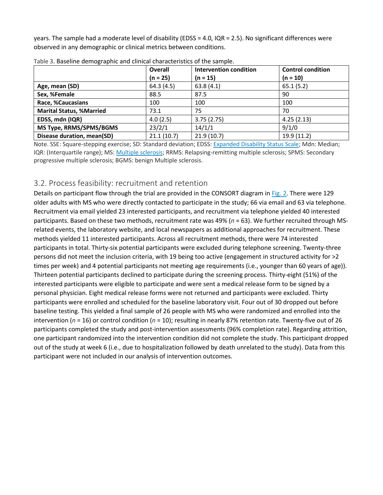years. The sample had a moderate level of disability (EDSS = 4.0, IQR = 2.5). No significant differences were observed in any demographic or clinical metrics between conditions.

|                                 | Overall    | <b>Intervention condition</b> | <b>Control condition</b> |
|---------------------------------|------------|-------------------------------|--------------------------|
|                                 | $(n = 25)$ | $(n = 15)$                    | $(n = 10)$               |
| Age, mean (SD)                  | 64.3(4.5)  | 63.8(4.1)                     | 65.1(5.2)                |
| Sex, %Female                    | 88.5       | 87.5                          | 90                       |
| <b>Race, %Caucasians</b>        | 100        | 100                           | 100                      |
| <b>Marital Status, %Married</b> | 73.1       | 75                            | 70                       |
| EDSS, mdn (IQR)                 | 4.0(2.5)   | 3.75(2.75)                    | 4.25(2.13)               |
| MS Type, RRMS/SPMS/BGMS         | 23/2/1     | 14/1/1                        | 9/1/0                    |
| Disease duration, mean(SD)      | 21.1(10.7) | 21.9(10.7)                    | 19.9 (11.2)              |

Table 3. Baseline demographic and clinical characteristics of the sample.

Note. SSE: Square-stepping exercise; SD: Standard deviation; EDSS: [Expanded Disability Status Scale;](https://0-www-sciencedirect-com.libus.csd.mu.edu/topics/medicine-and-dentistry/expanded-disability-status-scale) Mdn: Median; IQR: (Interquartile range); MS: [Multiple sclerosis;](https://0-www-sciencedirect-com.libus.csd.mu.edu/topics/medicine-and-dentistry/multiple-sclerosis) RRMS: Relapsing-remitting multiple sclerosis; SPMS: Secondary progressive multiple sclerosis; BGMS: benign Multiple sclerosis.

### 3.2. Process feasibility: recruitment and retention

Details on participant flow through the trial are provided in the CONSORT diagram in [Fig. 2.](https://0-www-sciencedirect-com.libus.csd.mu.edu/science/article/pii/S1551714418303616#f0010) There were 129 older adults with MS who were directly contacted to participate in the study; 66 via email and 63 via telephone. Recruitment via email yielded 23 interested participants, and recruitment via telephone yielded 40 interested participants. Based on these two methods, recruitment rate was 49% (*n* = 63). We further recruited through MSrelated events, the laboratory website, and local newspapers as additional approaches for recruitment. These methods yielded 11 interested participants. Across all recruitment methods, there were 74 interested participants in total. Thirty-six potential participants were excluded during telephone screening. Twenty-three persons did not meet the inclusion criteria, with 19 being too active (engagement in structured activity for >2 times per week) and 4 potential participants not meeting age requirements (i.e., younger than 60 years of age)). Thirteen potential participants declined to participate during the screening process. Thirty-eight (51%) of the interested participants were eligible to participate and were sent a medical release form to be signed by a personal physician. Eight medical release forms were not returned and participants were excluded. Thirty participants were enrolled and scheduled for the baseline laboratory visit. Four out of 30 dropped out before baseline testing. This yielded a final sample of 26 people with MS who were randomized and enrolled into the intervention (*n* = 16) or control condition (*n* = 10); resulting in nearly 87% retention rate. Twenty-five out of 26 participants completed the study and post-intervention assessments (96% completion rate). Regarding attrition, one participant randomized into the intervention condition did not complete the study. This participant dropped out of the study at week 6 (i.e., due to hospitalization followed by death unrelated to the study). Data from this participant were not included in our analysis of intervention outcomes.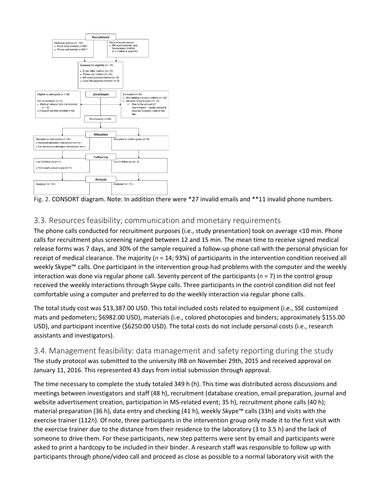

Fig. 2. CONSORT diagram. Note: In addition there were \*27 invalid emails and \*\*11 invalid phone numbers.

### 3.3. Resources feasibility; communication and monetary requirements

The phone calls conducted for recruitment purposes (i.e., study presentation) took on average <10 min. Phone calls for recruitment plus screening ranged between 12 and 15 min. The mean time to receive signed medical release forms was 7 days, and 30% of the sample required a follow-up phone call with the personal physician for receipt of medical clearance. The majority (*n* = 14; 93%) of participants in the intervention condition received all weekly Skype™ calls. One participant in the intervention group had problems with the computer and the weekly interaction was done via regular phone call. Seventy percent of the participants (*n* = 7) in the control group received the weekly interactions through Skype calls. Three participants in the control condition did not feel comfortable using a computer and preferred to do the weekly interaction via regular phone calls.

The total study cost was \$13,387.00 USD. This total included costs related to equipment (i.e., SSE customized mats and pedometers; \$6982.00 USD), materials (i.e., colored photocopies and binders; approximately \$155.00 USD), and participant incentive (\$6250.00 USD). The total costs do not include personal costs (i.e., research assistants and investigators).

3.4. Management feasibility: data management and safety reporting during the study The study protocol was submitted to the university IRB on November 29th, 2015 and received approval on January 11, 2016. This represented 43 days from initial submission through approval.

The time necessary to complete the study totaled 349 h (h). This time was distributed across discussions and meetings between investigators and staff (48 h), recruitment (database creation, email preparation, journal and website advertisement creation, participation in MS-related event; 35 h), recruitment phone calls (40 h); material preparation (36 h), data entry and checking (41 h), weekly Skype™ calls (33h) and visits with the exercise trainer (112*h*). Of note, three participants in the intervention group only made it to the first visit with the exercise trainer due to the distance from their residence to the laboratory (3 to 3.5 h) and the lack of someone to drive them. For these participants, new step patterns were sent by email and participants were asked to print a hardcopy to be included in their binder. A research staff was responsible to follow up with participants through phone/video call and proceed as close as possible to a normal laboratory visit with the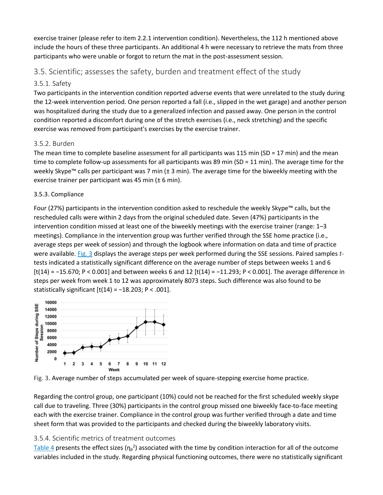exercise trainer (please refer to item 2.2.1 intervention condition). Nevertheless, the 112 h mentioned above include the hours of these three participants. An additional 4 h were necessary to retrieve the mats from three participants who were unable or forgot to return the mat in the post-assessment session.

#### 3.5. Scientific; assesses the safety, burden and treatment effect of the study

#### 3.5.1. Safety

Two participants in the intervention condition reported adverse events that were unrelated to the study during the 12-week intervention period. One person reported a fall (i.e., slipped in the wet garage) and another person was hospitalized during the study due to a generalized infection and passed away. One person in the control condition reported a discomfort during one of the stretch exercises (i.e., neck stretching) and the specific exercise was removed from participant's exercises by the exercise trainer.

#### 3.5.2. Burden

The mean time to complete baseline assessment for all participants was 115 min (SD = 17 min) and the mean time to complete follow-up assessments for all participants was 89 min (SD = 11 min). The average time for the weekly Skype™ calls per participant was 7 min (± 3 min). The average time for the biweekly meeting with the exercise trainer per participant was 45 min (± 6 min).

#### 3.5.3. Compliance

Four (27%) participants in the intervention condition asked to reschedule the weekly Skype™ calls, but the rescheduled calls were within 2 days from the original scheduled date. Seven (47%) participants in the intervention condition missed at least one of the biweekly meetings with the exercise trainer (range: 1–3 meetings). Compliance in the intervention group was further verified through the SSE home practice (i.e., average steps per week of session) and through the logbook where information on data and time of practice were available. [Fig. 3](https://0-www-sciencedirect-com.libus.csd.mu.edu/science/article/pii/S1551714418303616#f0015) displays the average steps per week performed during the SSE sessions. Paired samples *t*tests indicated a statistically significant difference on the average number of steps between weeks 1 and 6 [t(14) = −15.670; P < 0.001] and between weeks 6 and 12 [t(14) = −11.293; P < 0.001]. The average difference in steps per week from week 1 to 12 was approximately 8073 steps. Such difference was also found to be statistically significant  $[t(14) = -18.203; P < .001]$ .





Regarding the control group, one participant (10%) could not be reached for the first scheduled weekly skype call due to traveling. Three (30%) participants in the control group missed one biweekly face-to-face meeting each with the exercise trainer. Compliance in the control group was further verified through a date and time sheet form that was provided to the participants and checked during the biweekly laboratory visits.

#### 3.5.4. Scientific metrics of treatment outcomes

[Table 4](https://0-www-sciencedirect-com.libus.csd.mu.edu/science/article/pii/S1551714418303616#t0020) presents the effect sizes ( $\eta_p^2$ ) associated with the time by condition interaction for all of the outcome variables included in the study. Regarding physical functioning outcomes, there were no statistically significant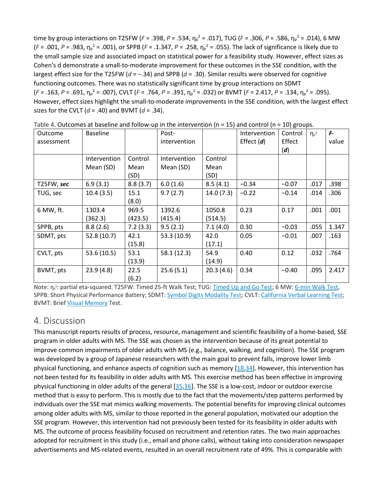time by group interactions on T25FW (*F* = .398, *P* = .534, η<sup>p</sup> <sup>2</sup> = .017), TUG (*F* = .306, *P* = .586, η<sup>p</sup> <sup>2</sup> = .014), 6 MW (*F* = .001, *P* = .983, η<sup>p</sup> <sup>2</sup> = .001), or SPPB (*F* = .1.347, *P* = .258, η<sup>p</sup> <sup>2</sup> = .055). The lack of significance is likely due to the small sample size and associated impact on statistical power for a feasibility study. However, effect sizes as Cohen's d demonstrate a small-to-moderate improvement for these outcomes in the SSE condition, with the largest effect size for the T25FW (*d* = −.34) and SPPB (*d* = .30). Similar results were observed for cognitive functioning outcomes. There was no statistically significant time by group interactions on SDMT (*F* = .163, *P* = .691, η<sup>p</sup> <sup>2</sup> = .007), CVLT (*F* = .764, *P* = .391, η<sup>p</sup> <sup>2</sup> = .032) or BVMT (*F* = 2.417, *P* = .134, η<sup>p</sup> <sup>2</sup> = .095). However, effect sizes highlight the small-to-moderate improvements in the SSE condition, with the largest effect sizes for the CVLT ( $d = .40$ ) and BVMT ( $d = .34$ ).

| Table 4. Outcomes at baseme and follow-up in the intervention (ii – 15) and control (ii – 10) groups. |                 |          |              |           |              |         |                |       |
|-------------------------------------------------------------------------------------------------------|-----------------|----------|--------------|-----------|--------------|---------|----------------|-------|
| Outcome                                                                                               | <b>Baseline</b> |          | Post-        |           | Intervention | Control | $\eta_{p}^{2}$ | $F -$ |
| assessment                                                                                            |                 |          | intervention |           | Effect $(d)$ | Effect  |                | value |
|                                                                                                       |                 |          |              |           |              | (d)     |                |       |
|                                                                                                       | Intervention    | Control  | Intervention | Control   |              |         |                |       |
|                                                                                                       | Mean (SD)       | Mean     | Mean (SD)    | Mean      |              |         |                |       |
|                                                                                                       |                 | (SD)     |              | (SD)      |              |         |                |       |
| T25FW, sec                                                                                            | 6.9(3.1)        | 8.8(3.7) | 6.0(1.6)     | 8.5(4.1)  | $-0.34$      | $-0.07$ | .017           | .398  |
| TUG, sec                                                                                              | 10.4(3.5)       | 15.1     | 9.7(2.7)     | 14.0(7.3) | $-0.22$      | $-0.14$ | .014           | .306  |
|                                                                                                       |                 | (8.0)    |              |           |              |         |                |       |
| 6 MW, ft.                                                                                             | 1303.4          | 969.5    | 1392.6       | 1050.8    | 0.23         | 0.17    | .001           | .001  |
|                                                                                                       | (362.3)         | (423.5)  | (415.4)      | (514.5)   |              |         |                |       |
| SPPB, pts                                                                                             | 8.8(2.6)        | 7.2(3.3) | 9.5(2.1)     | 7.1(4.0)  | 0.30         | $-0.03$ | .055           | 1.347 |
| SDMT, pts                                                                                             | 52.8(10.7)      | 42.1     | 53.3 (10.9)  | 42.0      | 0.05         | $-0.01$ | .007           | .163  |
|                                                                                                       |                 | (15.8)   |              | (17.1)    |              |         |                |       |
| CVLT, pts                                                                                             | 53.6(10.5)      | 53.1     | 58.1(12.3)   | 54.9      | 0.40         | 0.12    | .032           | .764  |
|                                                                                                       |                 | (13.9)   |              | (14.9)    |              |         |                |       |
| BVMT, pts                                                                                             | 23.9(4.8)       | 22.5     | 25.6(5.1)    | 20.3(4.6) | 0.34         | $-0.40$ | .095           | 2.417 |
|                                                                                                       |                 | (6.2)    |              |           |              |         |                |       |

|  |  | Table 4. Outcomes at baseline and follow-up in the intervention (n = 15) and control (n = 10) groups. |  |  |
|--|--|-------------------------------------------------------------------------------------------------------|--|--|
|  |  |                                                                                                       |  |  |

Note: η<sub>β</sub> ?: partial eta-squared. T25FW: Timed 25-ft Walk Test; TUG: <u>[Timed Up and Go Test](https://0-www-sciencedirect-com.libus.csd.mu.edu/topics/medicine-and-dentistry/timed-up-and-go-test)</u>; 6 MW: [6-min Walk Test,](https://0-www-sciencedirect-com.libus.csd.mu.edu/topics/medicine-and-dentistry/six-minute-walk-test) SPPB: Short Physical Performance Battery; SDMT: [Symbol Digits Modality Test;](https://0-www-sciencedirect-com.libus.csd.mu.edu/topics/medicine-and-dentistry/symbol-digit-modalities-test) CVLT: [California Verbal Learning Test;](https://0-www-sciencedirect-com.libus.csd.mu.edu/topics/medicine-and-dentistry/california-verbal-learning-test) BVMT: Brief [Visual Memory](https://0-www-sciencedirect-com.libus.csd.mu.edu/topics/medicine-and-dentistry/visual-memory) Test.

#### 4. Discussion

This manuscript reports results of process, resource, management and scientific feasibility of a home-based, SSE program in older adults with MS. The SSE was chosen as the intervention because of its great potential to improve common impairments of older adults with MS (e.g., balance, walking, and cognition). The SSE program was developed by a group of Japanese researchers with the main goal to prevent falls, improve lower limb physical functioning, and enhance aspects of cognition such as memory [\[18](https://0-www-sciencedirect-com.libus.csd.mu.edu/science/article/pii/S1551714418303616#bb0090)[,34\]](https://0-www-sciencedirect-com.libus.csd.mu.edu/science/article/pii/S1551714418303616#bb0170). However, this intervention has not been tested for its feasibility in older adults with MS. This exercise method has been effective in improving physical functioning in older adults of the general [\[35](https://0-www-sciencedirect-com.libus.csd.mu.edu/science/article/pii/S1551714418303616#bb0175)[,36\]](https://0-www-sciencedirect-com.libus.csd.mu.edu/science/article/pii/S1551714418303616#bb0180). The SSE is a low-cost, indoor or outdoor exercise method that is easy to perform. This is mostly due to the fact that the movements/step patterns performed by individuals over the SSE mat mimics walking movements. The potential benefits for improving clinical outcomes among older adults with MS, similar to those reported in the general population, motivated our adoption the SSE program. However, this intervention had not previously been tested for its feasibility in older adults with MS. The outcome of process feasibility focused on recruitment and retention rates. The two main approaches adopted for recruitment in this study (i.e., email and phone calls), without taking into consideration newspaper advertisements and MS-related events, resulted in an overall recruitment rate of 49%. This is comparable with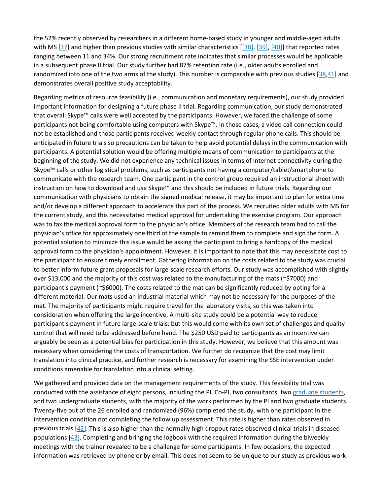the 52% recently observed by researchers in a different home-based study in younger and middle-aged adults with MS [\[37\]](https://0-www-sciencedirect-com.libus.csd.mu.edu/science/article/pii/S1551714418303616#bb0185) and higher than previous studies with similar characteristics [\[\[38\],](https://0-www-sciencedirect-com.libus.csd.mu.edu/science/article/pii/S1551714418303616#bb0190) [\[39\],](https://0-www-sciencedirect-com.libus.csd.mu.edu/science/article/pii/S1551714418303616#bb0195) [\[40\]\]](https://0-www-sciencedirect-com.libus.csd.mu.edu/science/article/pii/S1551714418303616#bb0200) that reported rates ranging between 11 and 34%. Our strong recruitment rate indicates that similar processes would be applicable in a subsequent phase II trial. Our study further had 87% retention rate (i.e., older adults enrolled and randomized into one of the two arms of the study). This number is comparable with previous studies [\[38](https://0-www-sciencedirect-com.libus.csd.mu.edu/science/article/pii/S1551714418303616#bb0190)[,41\]](https://0-www-sciencedirect-com.libus.csd.mu.edu/science/article/pii/S1551714418303616#bb0205) and demonstrates overall positive study acceptability.

Regarding metrics of resource feasibility (i.e., communication and monetary requirements), our study provided important information for designing a future phase II trial. Regarding communication, our study demonstrated that overall Skype™ calls were well accepted by the participants. However, we faced the challenge of some participants not being comfortable using computers with Skype™. In those cases, a video call connection could not be established and those participants received weekly contact through regular phone calls. This should be anticipated in future trials so precautions can be taken to help avoid potential delays in the communication with participants. A potential solution would be offering multiple means of communication to participants at the beginning of the study. We did not experience any technical issues in terms of Internet connectivity during the Skype™ calls or other logistical problems, such as participants not having a computer/tablet/smartphone to communicate with the research team. One participant in the control group required an instructional sheet with instruction on how to download and use Skype™ and this should be included in future trials. Regarding our communication with physicians to obtain the signed medical release, it may be important to plan for extra time and/or develop a different approach to accelerate this part of the process. We recruited older adults with MS for the current study, and this necessitated medical approval for undertaking the exercise program. Our approach was to fax the medical approval form to the physician's office. Members of the research team had to call the physician's office for approximately one third of the sample to remind them to complete and sign the form. A potential solution to minimize this issue would be asking the participant to bring a hardcopy of the medical approval form to the physician's appointment. However, it is important to note that this may necessitate cost to the participant to ensure timely enrollment. Gathering information on the costs related to the study was crucial to better inform future grant proposals for large-scale research efforts. Our study was accomplished with slightly over \$13,000 and the majority of this cost was related to the manufacturing of the mats (~\$7000) and participant's payment (~\$6000). The costs related to the mat can be significantly reduced by opting for a different material. Our mats used an industrial material which may not be necessary for the purposes of the mat. The majority of participants might require travel for the laboratory visits, so this was taken into consideration when offering the large incentive. A multi-site study could be a potential way to reduce participant's payment in future large-scale trials; but this would come with its own set of challenges and quality control that will need to be addressed before hand. The \$250 USD paid to participants as an incentive can arguably be seen as a potential bias for participation in this study. However, we believe that this amount was necessary when considering the costs of transportation. We further do recognize that the cost may limit translation into clinical practice, and further research is necessary for examining the SSE intervention under conditions amenable for translation into a clinical setting.

We gathered and provided data on the management requirements of the study. This feasibility trial was conducted with the assistance of eight persons, including the PI, Co-PI, two consultants, two [graduate students,](https://0-www-sciencedirect-com.libus.csd.mu.edu/topics/medicine-and-dentistry/graduate-student) and two undergraduate students, with the majority of the work performed by the PI and two graduate students. Twenty-five out of the 26 enrolled and randomized (96%) completed the study, with one participant in the intervention condition not completing the follow up assessment. This rate is higher than rates observed in previous trials [\[42\]](https://0-www-sciencedirect-com.libus.csd.mu.edu/science/article/pii/S1551714418303616#bb0210). This is also higher than the normally high dropout rates observed clinical trials in diseased populations [\[43\]](https://0-www-sciencedirect-com.libus.csd.mu.edu/science/article/pii/S1551714418303616#bb0215). Completing and bringing the logbook with the required information during the biweekly meetings with the trainer revealed to be a challenge for some participants. In few occasions, the expected information was retrieved by phone or by email. This does not seem to be unique to our study as previous work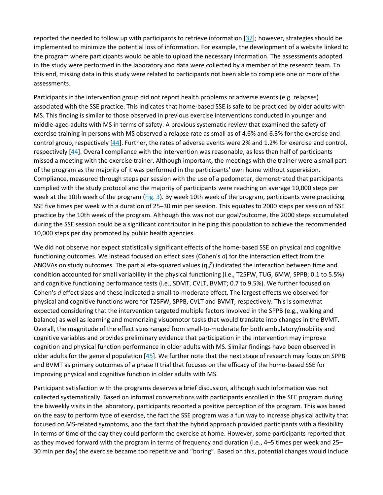reported the needed to follow up with participants to retrieve information [\[37\]](https://0-www-sciencedirect-com.libus.csd.mu.edu/science/article/pii/S1551714418303616#bb0185); however, strategies should be implemented to minimize the potential loss of information. For example, the development of a website linked to the program where participants would be able to upload the necessary information. The assessments adopted in the study were performed in the laboratory and data were collected by a member of the research team. To this end, missing data in this study were related to participants not been able to complete one or more of the assessments.

Participants in the intervention group did not report health problems or adverse events (e.g. relapses) associated with the SSE practice. This indicates that home-based SSE is safe to be practiced by older adults with MS. This finding is similar to those observed in previous exercise interventions conducted in younger and middle-aged adults with MS in terms of safety. A previous systematic review that examined the safety of exercise training in persons with MS observed a relapse rate as small as of 4.6% and 6.3% for the exercise and control group, respectively [\[44\]](https://0-www-sciencedirect-com.libus.csd.mu.edu/science/article/pii/S1551714418303616#bb0220). Further, the rates of adverse events were 2% and 1.2% for exercise and control, respectively [\[44\]](https://0-www-sciencedirect-com.libus.csd.mu.edu/science/article/pii/S1551714418303616#bb0220). Overall compliance with the intervention was reasonable, as less than half of participants missed a meeting with the exercise trainer. Although important, the meetings with the trainer were a small part of the program as the majority of it was performed in the participants' own home without supervision. Compliance, measured through steps per session with the use of a pedometer, demonstrated that participants complied with the study protocol and the majority of participants were reaching on average 10,000 steps per week at the 10th week of the program [\(Fig. 3\)](https://0-www-sciencedirect-com.libus.csd.mu.edu/science/article/pii/S1551714418303616#f0015). By week 10th week of the program, participants were practicing SSE five times per week with a duration of 25–30 min per session. This equates to 2000 steps per session of SSE practice by the 10th week of the program. Although this was not our goal/outcome, the 2000 steps accumulated during the SSE session could be a significant contributor in helping this population to achieve the recommended 10,000 steps per day promoted by public health agencies.

We did not observe nor expect statistically significant effects of the home-based SSE on physical and cognitive functioning outcomes. We instead focused on effect sizes (Cohen's *d*) for the interaction effect from the ANOVAs on study outcomes. The partial eta-squared values ( $\eta_P^2$ ) indicated the interaction between time and condition accounted for small variability in the physical functioning (i.e., T25FW, TUG, 6MW, SPPB; 0.1 to 5.5%) and cognitive functioning performance tests (i.e., SDMT, CVLT, BVMT; 0.7 to 9.5%). We further focused on Cohen's *d* effect sizes and these indicated a small-to-moderate effect. The largest effects we observed for physical and cognitive functions were for T25FW, SPPB, CVLT and BVMT, respectively. This is somewhat expected considering that the intervention targeted multiple factors involved in the SPPB (e.g., walking and balance) as well as learning and memorizing visuomotor tasks that would translate into changes in the BVMT. Overall, the magnitude of the effect sizes ranged from small-to-moderate for both ambulatory/mobility and cognitive variables and provides preliminary evidence that participation in the intervention may improve cognition and physical function performance in older adults with MS. Similar findings have been observed in older adults for the general population [\[45\]](https://0-www-sciencedirect-com.libus.csd.mu.edu/science/article/pii/S1551714418303616#bb0225). We further note that the next stage of research may focus on SPPB and BVMT as primary outcomes of a phase II trial that focuses on the efficacy of the home-based SSE for improving physical and cognitive function in older adults with MS.

Participant satisfaction with the programs deserves a brief discussion, although such information was not collected systematically. Based on informal conversations with participants enrolled in the SEE program during the biweekly visits in the laboratory, participants reported a positive perception of the program. This was based on the easy to perform type of exercise, the fact the SSE program was a fun way to increase physical activity that focused on MS-related symptoms, and the fact that the hybrid approach provided participants with a flexibility in terms of time of the day they could perform the exercise at home. However, some participants reported that as they moved forward with the program in terms of frequency and duration (i.e., 4–5 times per week and 25– 30 min per day) the exercise became too repetitive and "boring". Based on this, potential changes would include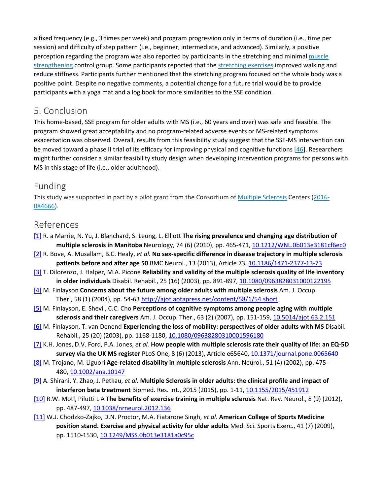a fixed frequency (e.g., 3 times per week) and program progression only in terms of duration (i.e., time per session) and difficulty of step pattern (i.e., beginner, intermediate, and advanced). Similarly, a positive perception regarding the program was also reported by participants in the stretching and minimal [muscle](https://0-www-sciencedirect-com.libus.csd.mu.edu/topics/medicine-and-dentistry/muscle-training)  [strengthening](https://0-www-sciencedirect-com.libus.csd.mu.edu/topics/medicine-and-dentistry/muscle-training) control group. Some participants reported that the [stretching exercises](https://0-www-sciencedirect-com.libus.csd.mu.edu/topics/medicine-and-dentistry/stretching-exercise) improved walking and reduce stiffness. Participants further mentioned that the stretching program focused on the whole body was a positive point. Despite no negative comments, a potential change for a future trial would be to provide participants with a yoga mat and a log book for more similarities to the SSE condition.

### 5. Conclusion

This home-based, SSE program for older adults with MS (i.e., 60 years and over) was safe and feasible. The program showed great acceptability and no program-related adverse events or MS-related symptoms exacerbation was observed. Overall, results from this feasibility study suggest that the SSE-MS intervention can be moved toward a phase II trial of its efficacy for improving physical and cognitive functions [\[46\]](https://0-www-sciencedirect-com.libus.csd.mu.edu/science/article/pii/S1551714418303616#bb0230). Researchers might further consider a similar feasibility study design when developing intervention programs for persons with MS in this stage of life (i.e., older adulthood).

### Funding

This study was supported in part by a pilot grant from the Consortium of [Multiple Sclerosis](https://0-www-sciencedirect-com.libus.csd.mu.edu/topics/medicine-and-dentistry/multiple-sclerosis) Centers [\(2016-](https://0-www-sciencedirect-com.libus.csd.mu.edu/science/article/pii/S1551714418303616#gts0005) [084666\)](https://0-www-sciencedirect-com.libus.csd.mu.edu/science/article/pii/S1551714418303616#gts0005).

### References

- [\[1\]](https://www.sciencedirect.com/science/article/pii/S1551714418303616?via%3Dihub#bbb0005) R. a Marrie, N. Yu, J. Blanchard, S. Leung, L. Elliott **The rising prevalence and changing age distribution of multiple sclerosis in Manitoba** Neurology, 74 (6) (2010), pp. 465-471, [10.1212/WNL.0b013e3181cf6ec0](https://doi.org/10.1212/WNL.0b013e3181cf6ec0)
- [\[2\]](https://www.sciencedirect.com/science/article/pii/S1551714418303616?via%3Dihub#bbb0010) R. Bove, A. Musallam, B.C. Healy, *et al.* **No sex-specific difference in disease trajectory in multiple sclerosis patients before and after age 50** BMC Neurol., 13 (2013), Article 73, [10.1186/1471-2377-13-73](https://doi.org/10.1186/1471-2377-13-73)
- [\[3\]](https://www.sciencedirect.com/science/article/pii/S1551714418303616?via%3Dihub#bbb0015) T. Dilorenzo, J. Halper, M.A. Picone **Reliability and validity of the multiple sclerosis quality of life inventory in older individuals** Disabil. Rehabil., 25 (16) (2003), pp. 891-897, [10.1080/0963828031000122195](https://doi.org/10.1080/0963828031000122195)
- [\[4\]](https://www.sciencedirect.com/science/article/pii/S1551714418303616?via%3Dihub#bbb0020) M. Finlayson **Concerns about the future among older adults with multiple sclerosis** Am. J. Occup. Ther., 58 (1) (2004), pp. 54-63 <http://ajot.aotapress.net/content/58/1/54.short>
- [\[5\]](https://www.sciencedirect.com/science/article/pii/S1551714418303616?via%3Dihub#bbb0025) M. Finlayson, E. Shevil, C.C. Cho **Perceptions of cognitive symptoms among people aging with multiple sclerosis and their caregivers** Am. J. Occup. Ther., 63 (2) (2007), pp. 151-159, [10.5014/ajot.63.2.151](https://doi.org/10.5014/ajot.63.2.151)
- [\[6\]](https://www.sciencedirect.com/science/article/pii/S1551714418303616?via%3Dihub#bbb0030) M. Finlayson, T. van Denend **Experiencing the loss of mobility: perspectives of older adults with MS** Disabil. Rehabil., 25 (20) (2003), pp. 1168-1180, [10.1080/09638280310001596180](https://doi.org/10.1080/09638280310001596180)
- [\[7\]](https://www.sciencedirect.com/science/article/pii/S1551714418303616?via%3Dihub#bbb0035) K.H. Jones, D.V. Ford, P.A. Jones, *et al.* **How people with multiple sclerosis rate their quality of life: an EQ-5D**  survey via the UK MS register PLoS One, 8 (6) (2013), Article e65640, [10.1371/journal.pone.0065640](https://doi.org/10.1371/journal.pone.0065640)
- [\[8\]](https://www.sciencedirect.com/science/article/pii/S1551714418303616?via%3Dihub#bbb0040) M. Trojano, M. Liguori **Age-related disability in multiple sclerosis** Ann. Neurol., 51 (4) (2002), pp. 475- 480, [10.1002/ana.10147](https://doi.org/10.1002/ana.10147)
- [\[9\]](https://www.sciencedirect.com/science/article/pii/S1551714418303616?via%3Dihub#bbb0045) A. Shirani, Y. Zhao, J. Petkau, *et al.* **Multiple Sclerosis in older adults: the clinical profile and impact of interferon beta treatment** Biomed. Res. Int., 2015 (2015), pp. 1-11, [10.1155/2015/451912](https://doi.org/10.1155/2015/451912)
- [\[10\]](https://www.sciencedirect.com/science/article/pii/S1551714418303616?via%3Dihub#bbb0050) R.W. Motl, Pilutti L A **The benefits of exercise training in multiple sclerosis** Nat. Rev. Neurol., 8 (9) (2012), pp. 487-497, [10.1038/nrneurol.2012.136](https://doi.org/10.1038/nrneurol.2012.136)
- [\[11\]](https://www.sciencedirect.com/science/article/pii/S1551714418303616?via%3Dihub#bbb0055) W.J. Chodzko-Zajko, D.N. Proctor, M.A. Fiatarone Singh, *et al.* **American College of Sports Medicine position stand. Exercise and physical activity for older adults** Med. Sci. Sports Exerc., 41 (7) (2009), pp. 1510-1530, [10.1249/MSS.0b013e3181a0c95c](https://doi.org/10.1249/MSS.0b013e3181a0c95c)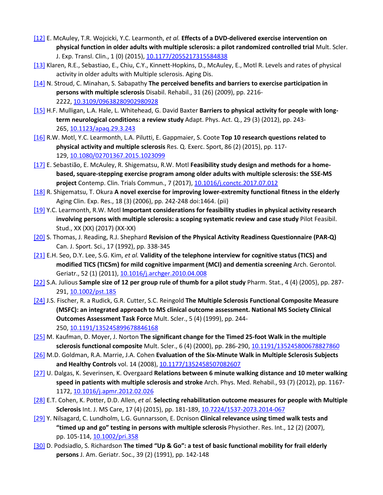- [\[12\]](https://www.sciencedirect.com/science/article/pii/S1551714418303616?via%3Dihub#bbb0060) E. McAuley, T.R. Wojcicki, Y.C. Learmonth, *et al.* **Effects of a DVD-delivered exercise intervention on physical function in older adults with multiple sclerosis: a pilot randomized controlled trial** Mult. Scler. J. Exp. Transl. Clin., 1 (0) (2015), [10.1177/2055217315584838](https://doi.org/10.1177/2055217315584838)
- [\[13\]](https://www.sciencedirect.com/science/article/pii/S1551714418303616?via%3Dihub#bbb0065) Klaren, R.E., Sebastiao, E., Chiu, C.Y., Kinnett-Hopkins, D., McAuley, E., Motl R. Levels and rates of physical activity in older adults with Multiple sclerosis. Aging Dis.
- [\[14\]](https://www.sciencedirect.com/science/article/pii/S1551714418303616?via%3Dihub#bbb0070) N. Stroud, C. Minahan, S. Sabapathy **The perceived benefits and barriers to exercise participation in persons with multiple sclerosis** Disabil. Rehabil., 31 (26) (2009), pp. 2216- 2222, [10.3109/09638280902980928](https://doi.org/10.3109/09638280902980928)
- [\[15\]](https://www.sciencedirect.com/science/article/pii/S1551714418303616?via%3Dihub#bbb0075) H.F. Mulligan, L.A. Hale, L. Whitehead, G. David Baxter **Barriers to physical activity for people with longterm neurological conditions: a review study** Adapt. Phys. Act. Q., 29 (3) (2012), pp. 243- 265, [10.1123/apaq.29.3.243](https://doi.org/10.1123/apaq.29.3.243)
- [\[16\]](https://www.sciencedirect.com/science/article/pii/S1551714418303616?via%3Dihub#bbb0080) R.W. Motl, Y.C. Learmonth, L.A. Pilutti, E. Gappmaier, S. Coote **Top 10 research questions related to physical activity and multiple sclerosis** Res. Q. Exerc. Sport, 86 (2) (2015), pp. 117- 129, [10.1080/02701367.2015.1023099](https://doi.org/10.1080/02701367.2015.1023099)
- [\[17\]](https://www.sciencedirect.com/science/article/pii/S1551714418303616?via%3Dihub#bbb0085) E. Sebastião, E. McAuley, R. Shigematsu, R.W. Motl **Feasibility study design and methods for a homebased, square-stepping exercise program among older adults with multiple sclerosis: the SSE-MS project** Contemp. Clin. Trials Commun., 7 (2017), [10.1016/j.conctc.2017.07.012](https://doi.org/10.1016/j.conctc.2017.07.012)
- [\[18\]](https://www.sciencedirect.com/science/article/pii/S1551714418303616?via%3Dihub#bbb0090) R. Shigematsu, T. Okura **A novel exercise for improving lower-extremity functional fitness in the elderly** Aging Clin. Exp. Res., 18 (3) (2006), pp. 242-248 doi:1464. (pii)
- [\[19\]](https://www.sciencedirect.com/science/article/pii/S1551714418303616?via%3Dihub#bbb0095) Y.C. Learmonth, R.W. Motl **Important considerations for feasibility studies in physical activity research involving persons with multiple sclerosis: a scoping systematic review and case study** Pilot Feasibil. Stud., XX (XX) (2017) (XX-XX)
- [\[20\]](https://www.sciencedirect.com/science/article/pii/S1551714418303616?via%3Dihub#bbb0100) S. Thomas, J. Reading, R.J. Shephard **Revision of the Physical Activity Readiness Questionnaire (PAR-Q)** Can. J. Sport. Sci., 17 (1992), pp. 338-345
- [\[21\]](https://www.sciencedirect.com/science/article/pii/S1551714418303616?via%3Dihub#bbb0105) E.H. Seo, D.Y. Lee, S.G. Kim, *et al.* **Validity of the telephone interview for cognitive status (TICS) and modified TICS (TICSm) for mild cognitive imparment (MCI) and dementia screening** Arch. Gerontol. Geriatr., 52 (1) (2011), [10.1016/j.archger.2010.04.008](https://doi.org/10.1016/j.archger.2010.04.008)
- [\[22\]](https://www.sciencedirect.com/science/article/pii/S1551714418303616?via%3Dihub#bbb0110) S.A. Julious **Sample size of 12 per group rule of thumb for a pilot study** Pharm. Stat., 4 (4) (2005), pp. 287- 291, [10.1002/pst.185](https://doi.org/10.1002/pst.185)
- [\[24\]](https://www.sciencedirect.com/science/article/pii/S1551714418303616?via%3Dihub#bbb0120) J.S. Fischer, R. a Rudick, G.R. Cutter, S.C. Reingold **The Multiple Sclerosis Functional Composite Measure (MSFC): an integrated approach to MS clinical outcome assessment. National MS Society Clinical Outcomes Assessment Task Force** Mult. Scler., 5 (4) (1999), pp. 244- 250, [10.1191/135245899678846168](https://doi.org/10.1191/135245899678846168)
- [\[25\]](https://www.sciencedirect.com/science/article/pii/S1551714418303616?via%3Dihub#bbb0125) M. Kaufman, D. Moyer, J. Norton **The significant change for the Timed 25-foot Walk in the multiple**  sclerosis functional composite Mult. Scler., 6 (4) (2000), pp. 286-290, [10.1191/135245800678827860](https://doi.org/10.1191/135245800678827860)
- [\[26\]](https://www.sciencedirect.com/science/article/pii/S1551714418303616?via%3Dihub#bbb0130) M.D. Goldman, R.A. Marrie, J.A. Cohen **Evaluation of the Six-Minute Walk in Multiple Sclerosis Subjects and Healthy Controls** vol. 14 (2008), [10.1177/1352458507082607](https://doi.org/10.1177/1352458507082607)
- [\[27\]](https://www.sciencedirect.com/science/article/pii/S1551714418303616?via%3Dihub#bbb0135) U. Dalgas, K. Severinsen, K. Overgaard **Relations between 6 minute walking distance and 10 meter walking speed in patients with multiple sclerosis and stroke** Arch. Phys. Med. Rehabil., 93 (7) (2012), pp. 1167- 1172, [10.1016/j.apmr.2012.02.026](https://doi.org/10.1016/j.apmr.2012.02.026)
- [\[28\]](https://www.sciencedirect.com/science/article/pii/S1551714418303616?via%3Dihub#bbb0140) E.T. Cohen, K. Potter, D.D. Allen, *et al.* **Selecting rehabilitation outcome measures for people with Multiple Sclerosis** Int. J. MS Care, 17 (4) (2015), pp. 181-189, [10.7224/1537-2073.2014-067](https://doi.org/10.7224/1537-2073.2014-067)
- [\[29\]](https://www.sciencedirect.com/science/article/pii/S1551714418303616?via%3Dihub#bbb0145) Y. Nilsagard, C. Lundholm, L.G. Gunnarsson, E. Dcnison **Clinical relevance using timed walk tests and "timed up and go" testing in persons with multiple sclerosis** Physiother. Res. Int., 12 (2) (2007), pp. 105-114, [10.1002/pri.358](https://doi.org/10.1002/pri.358)
- [\[30\]](https://www.sciencedirect.com/science/article/pii/S1551714418303616?via%3Dihub#bbb0150) D. Podsiadlo, S. Richardson **The timed "Up & Go": a test of basic functional mobility for frail elderly persons** J. Am. Geriatr. Soc., 39 (2) (1991), pp. 142-148